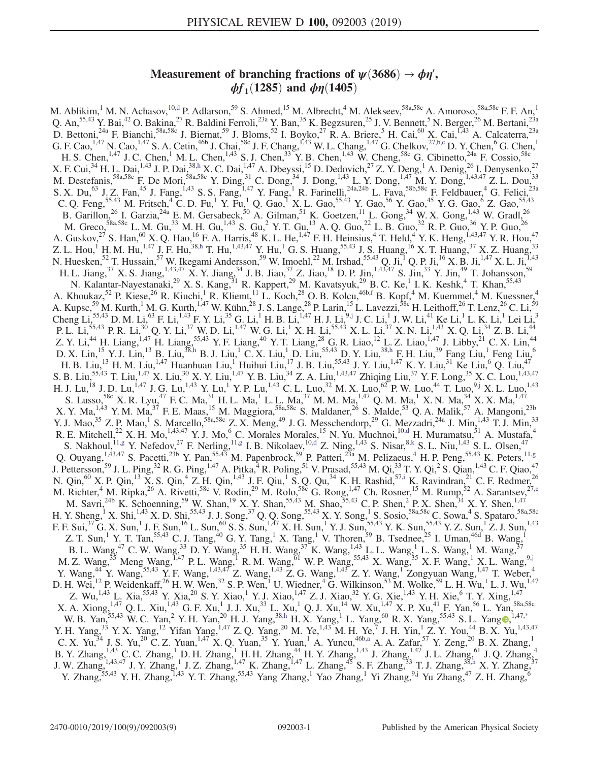# Measurement of branching fractions of  $\psi(3686) \rightarrow \phi \eta'$ ,  $\phi f_1(1285)$  and  $\phi \eta(1405)$

<span id="page-0-9"></span><span id="page-0-8"></span><span id="page-0-7"></span><span id="page-0-6"></span><span id="page-0-5"></span><span id="page-0-4"></span><span id="page-0-3"></span><span id="page-0-2"></span><span id="page-0-1"></span><span id="page-0-0"></span>M. Ablikim,<sup>1</sup> M. N. Achasov,<sup>10[,d](#page-2-0)</sup> P. Adlarson,<sup>59</sup> S. Ahmed,<sup>15</sup> M. Albrecht,<sup>4</sup> M. Alekseev,<sup>58a,58c</sup> A. Amoroso,<sup>58a,58c</sup> F. F. An,<sup>1</sup> Q. An,<sup>55,43</sup> Y. Bai,<sup>42</sup> O. Bakina,<sup>27</sup> R. Baldini Ferroli,<sup>23a</sup> Y. Ban,<sup>35</sup> K. Begzsuren,<sup>25</sup> J. V. Bennett,<sup>5</sup> N. Berger,<sup>26</sup> M. Bertani,<sup>23a</sup> D. Bettoni,<sup>24a</sup> F. Bianchi,<sup>58a,58c</sup> J. Biernat,<sup>59</sup> J. Bloms,<sup>52</sup> I. Boyko,<sup>27</sup> R. A. Briere,<sup>5</sup> H. Cai,<sup>60</sup> X. Cai,<sup>1,43</sup> A. Calcaterra,<sup>23a</sup> G. F. Cao,<sup>1,47</sup> N. Cao,<sup>1,47</sup> S. A. Cetin,<sup>46b</sup> J. Chai,<sup>58c</sup> J. F. Chang,<sup>1,43</sup> W. L. Chang,<sup>1,47</sup> G. Chelkov,<sup>27[,b,c](#page-2-1)</sup> D. Y. Chen,<sup>6</sup> G. Chen,<sup>1</sup> H. S. Chen,<sup>1,47</sup> J. C. Chen,<sup>1</sup> M. L. Chen,<sup>1,43</sup> S. J. Chen,<sup>33</sup> Y. B. Chen,<sup>1,43</sup> W. Cheng,<sup>58c</sup> G. Cibinetto,<sup>24a</sup> F. Cossio,<sup>58c</sup> X. F. Cui,  $34$  H. L. Dai,  $1,43$  J. P. Dai,  $38, h$  X. C. Dai,  $1,47$  A. Dbeyssi,  $15$  D. Dedovich,  $27$  Z. Y. Deng,  $1$  A. Denig,  $26$  I. Denysenko,  $27$ M. Destefanis,  ${}^{58a,58c}$  F. De Mori,  ${}^{58a,58c}$  Y. Ding,  ${}^{31}$  C. Dong,  ${}^{34}$  J. Dong,  ${}^{1,43}$  L. Y. Dong,  ${}^{1,47}$  M. Y. Dong,  ${}^{1,43,47}$  Z. L. Dou,  ${}^{33}$ S. X. Du,<sup>63</sup> J. Z. Fan,<sup>45</sup> J. Fang,<sup>1,43</sup> S. S. Fang,<sup>1,47</sup> Y. Fang,<sup>1</sup> R. Farinelli,<sup>24a,24b</sup> L. Fava,<sup>58b,58c</sup> F. Feldbauer,<sup>4</sup> G. Felici,<sup>23a</sup> C. Q. Feng,<sup>55,43</sup> M. Fritsch,<sup>4</sup> C. D. Fu,<sup>1</sup> Y. Fu,<sup>1</sup> Q. Gao,<sup>1</sup> X. L. Gao,<sup>55,43</sup> Y. Gao,<sup>56</sup> Y. Gao,<sup>45</sup> Y. G. Gao,<sup>6</sup> Z. Gao,<sup>55,43</sup> B. Garillon,<sup>26</sup> I. Garzia,<sup>24a</sup> E. M. Gersabeck,<sup>50</sup> A. Gilman,<sup>51</sup> K. Goetzen,<sup>11</sup> L. Gong,<sup>34</sup> W. X. Gong,<sup>1,43</sup> W. Gradl,<sup>26</sup> M. Greco,  $58a,58c$  L. M. Gu,  $33$  M. H. Gu,  $^{1,43}$  S. Gu,  $^{2}$  Y. T. Gu,  $^{13}$  A. Q. Guo,  $^{22}$  L. B. Guo,  $32$  R. P. Guo,  $36$  Y. P. Guo,  $^{26}$ A. Guskov,  $^{27}$  S. Han,  $^{60}$  X. Q. Hao,  $^{16}$  F. A. Harris,  $^{48}$  K. L. He,  $^{1,47}$  F. H. Heinsius,  $^{4}$  T. Held,  $^{4}$  Y. K. Heng,  $^{1,43,47}$  Y. R. Hou,  $^{47}$ Z. L. Hou,<sup>1</sup> H. M. Hu,<sup>1,47</sup> J. F. Hu,<sup>38[,h](#page-2-2)</sup> T. Hu,<sup>1,43,47</sup> Y. Hu,<sup>1</sup> G. S. Huang,<sup>55,43</sup> J. S. Huang,<sup>16</sup> X. T. Huang,<sup>37</sup> X. Z. Huang,<sup>33</sup> N. Huesken,<sup>52</sup> T. Hussain,<sup>57</sup> W. Ikegami Andersson,<sup>59</sup> W. Imoehl,<sup>22</sup> M. Irshad,<sup>55,43</sup> Q. Ji,<sup>1</sup> Q. P. Ji,<sup>16</sup> X. B. Ji,<sup>1,47</sup> X. L. Ji,<sup>1,43</sup> H. L. Jiang, <sup>37</sup> X. S. Jiang, <sup>1,43,47</sup> X. Y. Jiang, <sup>34</sup> J. B. Jiao, <sup>37</sup> Z. Jiao, <sup>18</sup> D. P. Jin, <sup>1,43,47</sup> S. Jin, <sup>33</sup> Y. Jin, <sup>49</sup> T. Johansson, <sup>59</sup> N. Kalantar-Nayestanaki,<sup>29</sup> X. S. Kang,<sup>31</sup> R. Kappert,<sup>29</sup> M. Kavatsyuk,<sup>29</sup> B. C. Ke,<sup>1</sup> I. K. Keshk,<sup>4</sup> T. Khan,<sup>55,43</sup> A. Khoukaz,<sup>52</sup> P. Kiese,<sup>26</sup> R. Kiuchi,<sup>1</sup> R. Kliemt,<sup>11</sup> L. Koch,<sup>28</sup> O. B. Kolcu,<sup>46b[,f](#page-2-3)</sup> B. Kopf,<sup>4</sup> M. Kuemmel,<sup>4</sup> M. Kuessner,<sup>4</sup> A. Kupsc,<sup>59</sup> M. Kurth,<sup>1</sup> M. G. Kurth,<sup>1,47</sup> W. Kühn,<sup>28</sup> J. S. Lange,<sup>28</sup> P. Larin,<sup>15</sup> L. Lavezzi,<sup>58c</sup> H. Leithoff,<sup>26</sup> T. Lenz,<sup>26</sup> C. Li,<sup>59</sup>  $Cheng Li, <sup>55,43</sup> D. M. Li, <sup>63</sup> F. Li, <sup>1,43</sup> F. Y. Li, <sup>35</sup> G. Li, <sup>1</sup> H. B. Li, <sup>1,47</sup> H. J. Li, <sup>9,j</sup> J. C. Li, <sup>1</sup> J. W. Li, <sup>41</sup> Ke Li, <sup>1</sup> L. K. Li, <sup>1</sup> Lei Li, <sup>3</sup>$  $Cheng Li, <sup>55,43</sup> D. M. Li, <sup>63</sup> F. Li, <sup>1,43</sup> F. Y. Li, <sup>35</sup> G. Li, <sup>1</sup> H. B. Li, <sup>1,47</sup> H. J. Li, <sup>9,j</sup> J. C. Li, <sup>1</sup> J. W. Li, <sup>41</sup> Ke Li, <sup>1</sup> L. K. Li, <sup>1</sup> Lei Li, <sup>3</sup>$  $Cheng Li, <sup>55,43</sup> D. M. Li, <sup>63</sup> F. Li, <sup>1,43</sup> F. Y. Li, <sup>35</sup> G. Li, <sup>1</sup> H. B. Li, <sup>1,47</sup> H. J. Li, <sup>9,j</sup> J. C. Li, <sup>1</sup> J. W. Li, <sup>41</sup> Ke Li, <sup>1</sup> L. K. Li, <sup>1</sup> Lei Li, <sup>3</sup>$ P. L. Li,<sup>55,43</sup> P. R. Li,<sup>30</sup> Q. Y. Li,<sup>37</sup> W. D. Li,<sup>1,47</sup> W. G. Li,<sup>1</sup> X. H. Li,<sup>55,43</sup> X. L. Li,<sup>37</sup> X. N. Li,<sup>1,43</sup> X. Q. Li,<sup>34</sup> Z. B. Li,<sup>44</sup> Z. Y. Li,<sup>44</sup> H. Liang,<sup>1,47</sup> H. Liang,<sup>55,43</sup> Y. F. Liang,<sup>40</sup> Y. T. Liang,<sup>28</sup> G. R. Liao,<sup>12</sup> L. Z. Liao,<sup>1,47</sup> J. Libby,<sup>21</sup> C. X. Lin,<sup>44</sup> D. X. Lin,<sup>15</sup> Y. J. Lin,<sup>13</sup> B. Liu,<sup>38[,h](#page-2-2)</sup> B. J. Liu,<sup>1</sup> C. X. Liu,<sup>1</sup> D. Liu,<sup>55,43</sup> D. Y. Liu,<sup>3[8,h](#page-2-2)</sup> F. H. Liu,<sup>39</sup> Fang Liu,<sup>1</sup> Feng Liu,<sup>6</sup> H. B. Liu,<sup>13</sup> H. M. Liu,<sup>1,47</sup> Huanhuan Liu,<sup>1</sup> Huihui Liu,<sup>17</sup> J. B. Liu,<sup>55,43</sup> J. Y. Liu,<sup>1,47</sup> K. Y. Liu,<sup>31</sup> Ke Liu,<sup>6</sup> Q. Liu,<sup>47</sup> S. B. Liu,<sup>55,43</sup> T. Liu,<sup>1,47</sup> X. Liu,<sup>30</sup> X. Y. Liu,<sup>1,47</sup> Y. B. Liu,<sup>34</sup> Z. A. Liu,<sup>1,43,47</sup> Zhiqing Liu,<sup>37</sup> Y. F. Long,<sup>35</sup> X. C. Lou,<sup>1,43,47</sup> H. J. Lu,<sup>18</sup> J. D. Lu,<sup>1,47</sup> J. G. Lu,<sup>1,43</sup> Y. Lu,<sup>1</sup> Y. P. Lu,<sup>1,43</sup> C. L. Luo,<sup>32</sup> M. X. Luo,<sup>62</sup> P. W. Luo,<sup>44</sup> T. Luo,<sup>[9,j](#page-2-4)</sup> X. L. Luo,<sup>1,43</sup> S. Lusso,<sup>58c</sup> X. R. Lyu,<sup>47</sup> F. C. Ma,<sup>31</sup> H. L. Ma,<sup>1</sup> L. L. Ma,<sup>37</sup> M. M. Ma,<sup>1,47</sup> Q. M. Ma,<sup>1</sup> X. N. Ma,<sup>34</sup> X. X. Ma,<sup>1,47</sup> X. Y. Ma,  $^{1,43}$  Y. M. Ma,  $^{37}$  F. E. Maas,  $^{15}$  M. Maggiora,  $^{58a,58c}$  S. Maldaner,  $^{26}$  S. Malde,  $^{53}$  Q. A. Malik,  $^{57}$  A. Mangoni,  $^{23b}$ Y. J. Mao,<sup>35</sup> Z. P. Mao,<sup>1</sup> S. Marcello,<sup>58a,58c</sup> Z. X. Meng,<sup>49</sup> J. G. Messchendorp,<sup>29</sup> G. Mezzadri,<sup>24a</sup> J. Min,<sup>1,43</sup> T. J. Min,<sup>33</sup> R. E. Mitchell,<sup>22</sup> X. H. Mo,<sup>1,43,47</sup> Y. J. Mo,<sup>6</sup> C. Morales Morales,<sup>15</sup> N. Yu. Muchnoi,<sup>1[0,d](#page-2-0)</sup> H. Muramatsu,<sup>51</sup> A. Mustafa,<sup>4</sup> S. Nakhoul,  $^{11,g}$  $^{11,g}$  $^{11,g}$  Y. Nefedov,  $^{27}$  F. Nerling,  $^{11,g}$  $^{11,g}$  $^{11,g}$  I. B. Nikolaev,  $^{10,d}$  $^{10,d}$  $^{10,d}$  Z. Ning,  $^{1,43}$  S. Nisar,  $^{8,k}$  $^{8,k}$  $^{8,k}$  S. L. Niu,  $^{1,43}$  S. L. Olsen,  $^{47}$ Q. Ouyang,  $^{1,43,47}$  S. Pacetti,  $^{23b}$  Y. Pan,  $^{55,43}$  M. Papenbrock,  $^{59}$  P. Patteri,  $^{23a}$  M. Pelizaeus,  $^{4}$  H. P. Peng,  $^{55,43}$  K. Peters,  $^{11,9}$ J. Pettersson,<sup>59</sup> J. L. Ping,<sup>32</sup> R. G. Ping,<sup>1,47</sup> A. Pitka,<sup>4</sup> R. Poling,<sup>51</sup> V. Prasad,<sup>55,43</sup> M. Qi,<sup>33</sup> T. Y. Qi,<sup>2</sup> S. Qian,<sup>1,43</sup> C. F. Qiao,<sup>47</sup> N. Qin,<sup>60</sup> X. P. Qin,<sup>13</sup> X. S. Qin,<sup>4</sup> Z. H. Qin,<sup>1,43</sup> J. F. Qiu,<sup>1</sup> S. Q. Qu,<sup>34</sup> K. H. Rashid,<sup>57[,i](#page-2-7)</sup> K. Ravindran,<sup>21</sup> C. F. Redmer,<sup>26</sup> M. Richter,<sup>4</sup> M. Ripka,<sup>26</sup> A. Rivetti,<sup>58c</sup> V. Rodin,<sup>29</sup> M. Rolo,<sup>58c</sup> G. Rong,<sup>1,47</sup> Ch. Rosner,<sup>15</sup> M. Rump,<sup>52</sup> A. Sarantsev,<sup>2[7,e](#page-2-8)</sup> M. Savri,<sup>24b</sup> K. Schoenning,<sup>59</sup> W. Shan,<sup>19</sup> X. Y. Shan,<sup>55,43</sup> M. Shao,<sup>55,43</sup> C. P. Shen,<sup>2</sup> P. X. Shen,<sup>34</sup> X. Y. Shen,<sup>1,47</sup> H. Y. Sheng,<sup>1</sup> X. Shi,<sup>1,43</sup> X. D. Shi,<sup>55,43</sup> J. J. Song,<sup>37</sup> Q. Q. Song,<sup>55,43</sup> X. Y. Song,<sup>1</sup> S. Sosio,<sup>58a,58c</sup> C. Sowa,<sup>4</sup> S. Spataro,<sup>58a,58c</sup> F. F. Sui,<sup>37</sup> G. X. Sun,<sup>1</sup> J. F. Sun,<sup>16</sup> L. Sun,<sup>60</sup> S. S. Sun,<sup>1,47</sup> X. H. Sun,<sup>1</sup> Y. J. Sun,<sup>55,43</sup> Y. K. Sun,<sup>55,43</sup> Y. Z. Sun,<sup>1</sup> Z. J. Sun,<sup>1,43</sup> Z. T. Sun,<sup>1</sup> Y. T. Tan,<sup>55,43</sup> C. J. Tang,<sup>40</sup> G. Y. Tang,<sup>1</sup> X. Tang,<sup>1</sup> V. Thoren,<sup>59</sup> B. Tsednee,<sup>25</sup> I. Uman,<sup>46d</sup> B. Wang,<sup>1</sup> B. L. Wang,  $^{47}$  C. W. Wang,  $^{33}$  D. Y. Wang,  $^{35}$  H. H. Wang,  $^{37}$  K. Wang,  $^{1,43}$  L. L. Wang, <sup>1</sup> L. S. Wang, <sup>1</sup> M. Wang,  $^{37}$ M. Z. Wang,  $^{35}$  Meng Wang,  $^{1,47}$  P. L. Wang,  $^{1}$  R. M. Wang,  $^{61}$  W. P. Wang,  $^{55,43}$  X. Wang,  $^{35}$  X. F. Wang,  $^{1}$  X. L. Wang,  $^{9,1}$ Y. Wang,  $^{44}$  Y. Wang,  $^{55,43}$  Y. F. Wang,  $^{1,43,47}$  Z. Wang,  $^{1,43}$  Z. G. Wang,  $^{1,43}$  Z. Y. Wang,  $^{1}$  Zongyuan Wang,  $^{1,47}$  T. Weber,  $^{4}$ D. H. Wei,<sup>12</sup> P. Weidenkaff,<sup>26</sup> H. W. Wen,<sup>32</sup> S. P. Wen,<sup>1</sup> U. Wiedner,<sup>4</sup> G. Wilkinson,<sup>53</sup> M. Wolke,<sup>59</sup> L. H. Wu,<sup>1</sup> L. J. Wu,<sup>1,47</sup> Z. Wu,<sup>1,43</sup> L. Xia,<sup>55,43</sup> Y. Xia,<sup>20</sup> S. Y. Xiao,<sup>1</sup> Y. J. Xiao,<sup>1,47</sup> Z. J. Xiao,<sup>32</sup> Y. G. Xie,<sup>1,43</sup> Y. H. Xie,<sup>6</sup> T. Y. Xing,<sup>1,47</sup>  $X.$  A. Xiong,  $^{1,47}$  Q. L. Xiu,  $^{1,43}$  G. F. Xu,  $^{1}$  J. J. Xu,  $^{33}$  L. Xu,  $^{1}$  Q. J. Xu,  $^{14}$  W. Xu,  $^{1,47}$  X. P. Xu,  $^{41}$  F. Yan,  $^{56}$  L. Yan,  $^{58a,58c}$ W. B. Yan,<sup>55,43</sup> W. C. Yan,<sup>2</sup> Y. H. Yan,<sup>20</sup> H. J. Yang,<sup>3[8,h](#page-2-2)</sup> H. X. Yang,<sup>1</sup> L. Yang,<sup>60</sup> R. X. Yang,<sup>55,43</sup> S. L. Yang <sup>1,47,[\\*](#page-2-9)</sup> Y. H. Yang,<sup>33</sup> Y. X. Yang,<sup>12</sup> Yifan Yang,<sup>1,47</sup> Z. Q. Yang,<sup>20</sup> M. Ye,<sup>1,43</sup> M. H. Ye,<sup>7</sup> J. H. Yin,<sup>1</sup> Z. Y. You,<sup>44</sup> B. X. Yu,<sup>1,43,47</sup> C. X. Yu,  $34$  J. S. Yu,  $20$  C. Z. Yuan,  $1.47$  X. Q. Yuan,  $35$  Y. Yuan,  $1$  A. Yuncu,  $46b$ , a A. A. Zafar,  $57$  Y. Zeng,  $20$  B. X. Zhang,  $1$ B. Y. Zhang,<sup>1,43</sup> C. C. Zhang,<sup>1</sup> D. H. Zhang,<sup>1</sup> H. H. Zhang,<sup>44</sup> H. Y. Zhang,<sup>1,43</sup> J. Zhang,<sup>1,47</sup> J. L. Zhang,<sup>61</sup> J. Q. Zhang,<sup>4</sup> J. W. Zhang,<sup>1,43,47</sup> J. Y. Zhang,<sup>1</sup> J. Z. Zhang,<sup>1,47</sup> K. Zhang,<sup>1,47</sup> L. Zhang,<sup>45</sup> S. F. Zhang,<sup>33</sup> T. J. Zhang,<sup>3[8,h](#page-2-2)</sup> X. Y. Zhang,<sup>37</sup> Y. Zhang,<sup>55,43</sup> Y. H. Zhang,<sup>1,43</sup> Y. T. Zhang,<sup>55,43</sup> Yang Zhang,<sup>1</sup> Yao Zhang,<sup>1</sup> Yi Zhang,<sup>9[,j](#page-2-4)</sup> Yu Zhang,<sup>47</sup> Z. H. Zhang,<sup>6</sup>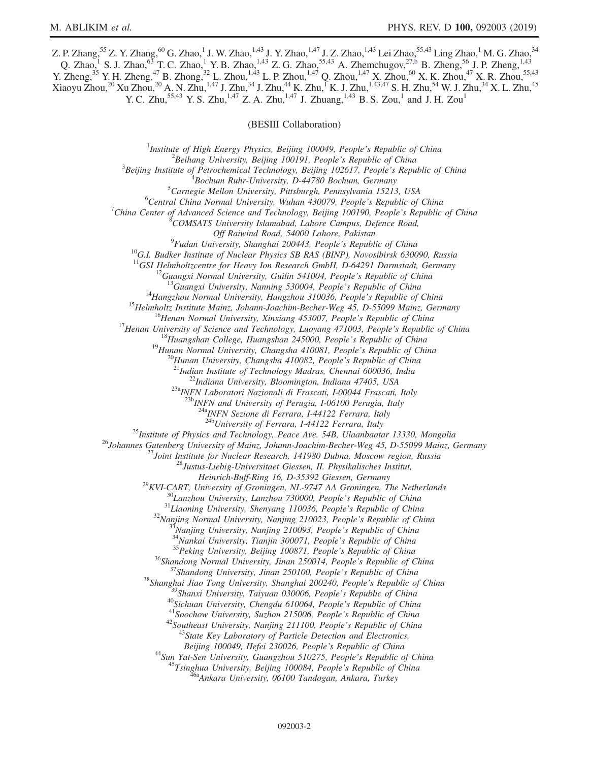Z. P. Zhang,  $^{55}$  Z. Y. Zhang,  $^{60}$  G. Zhao,  $^1$  J. W. Zhao,  $^{1,43}$  J. Y. Zhao,  $^{1,47}$  J. Z. Zhao,  $^{1,43}$  Lei Zhao,  $^{55,43}$  Ling Zhao,  $^1$  M. G. Zhao,  $^{34}$ Q. Zhao,<sup>1</sup> S. J. Zhao,<sup>63</sup> T. C. Zhao,<sup>1</sup> Y. B. Zhao,<sup>1,43</sup> Z. G. Zhao,<sup>55,43</sup> A. Zhemchugov,<sup>27[,b](#page-2-1)</sup> B. Zheng,<sup>56</sup> J. P. Zheng,<sup>1,43</sup> Y. Zheng,<sup>35</sup> Y. H. Zheng,<sup>47</sup> B. Zhong,<sup>32</sup> L. Zhou,<sup>1,43</sup> L. P. Zhou,<sup>1,47</sup> Q. Zhou,<sup>1,47</sup> X. Zhou,<sup>60</sup> X. K. Zhou,<sup>47</sup> X. R. Zhou,<sup>55,43</sup>  $X$ iaoyu Zhou, $^{20}$  Xu Zhou, $^{20}$  A. N. Zhu, $^{1,47}$  J. Zhu, $^{34}$  J. Zhu, $^{44}$  K. Zhu, $^{1}$  K. J. Zhu, $^{1,43,47}$  S. H. Zhu, $^{54}$  W. J. Zhu, $^{34}$  X. L. Zhu, $^{45}$ Y. C. Zhu,<sup>55,43</sup> Y. S. Zhu,<sup>1,47</sup> Z. A. Zhu,<sup>1,47</sup> J. Zhuang,<sup>1,43</sup> B. S. Zou,<sup>1</sup> and J. H. Zou<sup>1</sup>

(BESIII Collaboration)

<sup>1</sup>Institute of High Energy Physics, Beijing 100049, People's Republic of China  $\frac{2 \text{Poibana}}{2}$  ${}^{2}$ Beihang University, Beijing 100191, People's Republic of China  ${}^{3}$ Beijing Institute of Petrochemical Technology, Beijing 102617, People's Republic of China  $B$ ochum Ruhr-University, D-44780 Bochum, Germany  ${}^{5}$ Carnegie Mellon University, Pittsburgh, Pennsylvania 15213, USA  ${}^{6}$ Central China Normal University, Wuhan 430079, People's Republic of China <sup>7</sup>China Center of Advanced Science and Technology, Beijing 100190, People's Republic of China COMSATS University Islamabad, Lahore Campus, Defence Road,  $^{9}$ Fudan University, Shanghai 200443, People's Republic of China <sup>10</sup>G.I. Budker Institute of Nuclear Physics SB RAS (BINP), Novosibirsk 630090, Russia <sup>11</sup>GSI Helmholtzcentre for Heavy Ion Research GmbH, D-64291 Darmstadt, Germany <sup>11</sup>GSI Helmholtzcentre for Heavy Ion Research GmbH, D-64291 Darmstadt, Germany<br><sup>12</sup>Guangxi Normal University, Guilin 541004, People's Republic of China<br><sup>13</sup>Guangxi University, Nanning 530004, People's Republic of China<br><sup></sup>  $^{23a}$ INFN Laboratori Nazionali di Frascati, I-00044 Frascati, Italy<br> $^{23b}$ INFN and University of Perugia, I-06100 Perugia, Italy  $\frac{^{24a}NFN}{^{24b}University}$  of Ferrara, I-44122 Ferrara, Italy  $\frac{^{24b}University}$  of Ferrara, I-44122 Ferrara, Italy <sup>25</sup>Institute of Physics and Technology, Peace Ave. 54B, Ulaanbaatar 13330, Mongolia<br><sup>26</sup>Johannes Gutenberg University of Mainz, Johann-Joachim-Becher-Weg 45, D-55099 Mainz, Germany<br><sup>27</sup>Joint Institute for Nuclear Researc Heinrich-Buff-Ring 16, D-35392 Giessen, Germany<br>
<sup>29</sup>KVI-CART, University of Groningen, NL-9747 AA Groningen, The Netherlands<br>
<sup>31</sup>Liaoning University, Lanzhou 730000, People's Republic of China<br>
<sup>31</sup>Liaoning University, S Beijing 100049, Hefei 230026, People's Republic of China<br><sup>44</sup>Sun Yat-Sen University, Guangzhou 510275, People's Republic of China<br><sup>45</sup>Tsinghua University, Beijing 100084, People's Republic of China<br><sup>45</sup>Ankara University, 0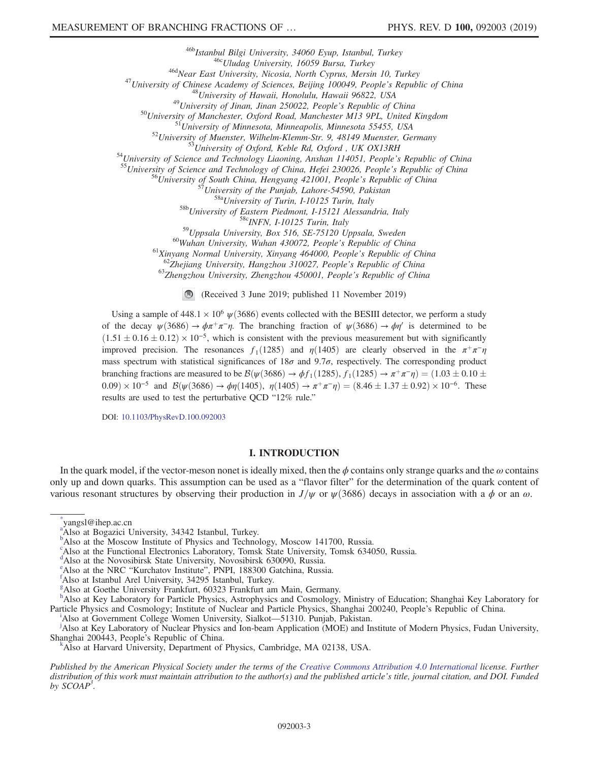$\begin{array}{c} \begin{array}{c} \text{46b}\text{Istantbul Bilgi University, 34060 Eyup, Istanbul, Turkey}\\ \text{46c}\text{Uludag University, 16059 Bursa, Turkey}\\ \text{47\text{University of Chinese Academy of Sciences, Berlin 10, Turkey}\\ \text{48c}\text{Wear East University, Nicolas, North Cyprus, March 10, Turkey}\\ \text{48d}\text{University of Chinese Academy of Sciences, Beijing 100049, People's Republic of China}\\ \text{49\text{University of Hawaii, Honolulu, Hawaii 96822, USA}\\ \text{49\text{University of Minnesota, Minenzola, Manchester} \\ \text{50d}\text{University of Minnesota, Minenzola, 5$ <sup>60</sup>Wuhan University, Wuhan 430072, People's Republic of China<br><sup>61</sup>Xinyang Normal University, Xinyang 464000, People's Republic of China<br><sup>62</sup>Zhejiang University, Hangzhou 310027, People's Republic of China<br><sup>63</sup>Zhengzhou U

(Received 3 June 2019; published 11 November 2019)

Using a sample of  $448.1 \times 10^6 \psi(3686)$  events collected with the BESIII detector, we perform a study of the decay  $\psi(3686) \to \phi \pi^+ \pi^- \eta$ . The branching fraction of  $\psi(3686) \to \phi \eta'$  is determined to be  $(1.51 \pm 0.16 \pm 0.12) \times 10^{-5}$ , which is consistent with the previous measurement but with significantly improved precision. The resonances  $f_1(1285)$  and  $\eta(1405)$  are clearly observed in the  $\pi^+\pi^-\eta$ mass spectrum with statistical significances of  $18\sigma$  and  $9.7\sigma$ , respectively. The corresponding product branching fractions are measured to be  $\mathcal{B}(\psi(3686) \to \phi f_1(1285), f_1(1285) \to \pi^+\pi^-\eta) = (1.03 \pm 0.10 \pm 0.10 \pm 0.10 \pm 0.10 \pm 0.10 \pm 0.10 \pm 0.10 \pm 0.10 \pm 0.10 \pm 0.10 \pm 0.10 \pm 0.10 \pm 0.10 \pm 0.10 \pm 0.10 \pm 0.10 \pm 0.10 \pm 0.10 \pm$  $(0.09) \times 10^{-5}$  and  $\mathcal{B}(\psi(3686) \to \phi \eta(1405), \eta(1405) \to \pi^+ \pi^- \eta) = (8.46 \pm 1.37 \pm 0.92) \times 10^{-6}$ . These results are used to test the perturbative QCD "12% rule."

DOI: [10.1103/PhysRevD.100.092003](https://doi.org/10.1103/PhysRevD.100.092003)

## I. INTRODUCTION

In the quark model, if the vector-meson nonet is ideally mixed, then the  $\phi$  contains only strange quarks and the  $\omega$  contains only up and down quarks. This assumption can be used as a "flavor filter" for the determination of the quark content of various resonant structures by observing their production in  $J/\psi$  or  $\psi(3686)$  decays in association with a  $\phi$  or an  $\omega$ .

<span id="page-2-9"></span>[\\*](#page-0-0) yangsl@ihep.ac.cn

<span id="page-2-7"></span><sup>1</sup>Also at Government College Women University, Sialkot—51310. Pun[j](#page-0-9)ab, Pakistan.

<span id="page-2-4"></span>Also at Key Laboratory of Nuclear Physics and Ion-beam Application (MOE) and Institute of Modern Physics, Fudan University, Shanghai 200443, People's Republic of China.

<span id="page-2-6"></span>Also at Harvard University, Department of Physics, Cambridge, MA 02138, USA.

Published by the American Physical Society under the terms of the [Creative Commons Attribution 4.0 International](https://creativecommons.org/licenses/by/4.0/) license. Further distribution of this work must maintain attribution to the author(s) and the published article's title, journal citation, and DOI. Funded by  $SCOAP<sup>3</sup>$ .

<span id="page-2-10"></span>Also [a](#page-0-1)t Bogazici University, 34342 Istanbul, Turkey.

<span id="page-2-1"></span><sup>&</sup>lt;sup>[b](#page-0-2)</sup>Also at the Moscow Institute of Physics and Technology, Moscow 141700, Russia.

c Also at the Functional Electronics Laboratory, Tomsk State University, Tomsk 634050, Russia.

<span id="page-2-0"></span><sup>&</sup>lt;sup>[d](#page-0-3)</sup>Also at the Novosibirsk State University, Novosibirsk 630090, Russia.

<span id="page-2-8"></span><sup>&</sup>lt;sup>[e](#page-0-4)</sup>Also at the NRC "Kurchatov Institute", PNPI, 188300 Gatchina, Russia.

<span id="page-2-3"></span>Also at Istanbul Arel University, 34295 Istanbul, Turkey.

<span id="page-2-5"></span>[g](#page-0-6) Also at Goethe University Frankfurt, 60323 Frankfurt am Main, Germany.

<span id="page-2-2"></span>[h](#page-0-7) Also at Key Laboratory for Particle Physics, Astrophysics and Cosmology, Ministry of Education; Shanghai Key Laboratory for Part[i](#page-0-8)cle Physics and Cosmology; Institute of Nuclear and Particle Physics, Shanghai 200240, People's Republic of China.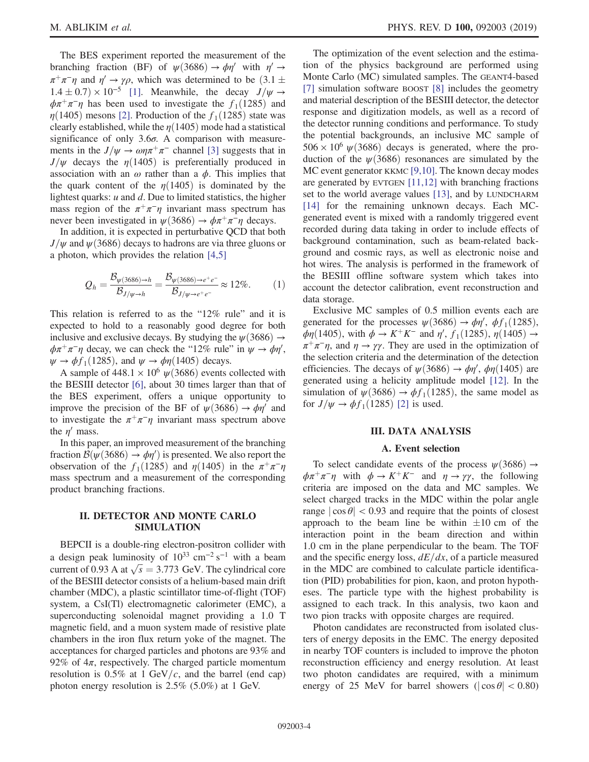The BES experiment reported the measurement of the branching fraction (BF) of  $\psi(3686) \rightarrow \phi \eta'$  with  $\eta' \rightarrow$  $\pi^+\pi^-\eta$  and  $\eta' \to \gamma\rho$ , which was determined to be  $(3.1 \pm \pi^+\eta)$  $1.4 \pm 0.7 \times 10^{-5}$  [\[1\]](#page-8-0). Meanwhile, the decay  $J/\psi \rightarrow$  $\phi \pi^+ \pi^- \eta$  has been used to investigate the f<sub>1</sub>(1285) and  $\eta(1405)$  mesons [\[2\]](#page-8-1). Production of the  $f_1(1285)$  state was clearly established, while the  $\eta(1405)$  mode had a statistical significance of only  $3.6\sigma$ . A comparison with measurements in the  $J/\psi \rightarrow \omega \eta \pi^+ \pi^-$  channel [\[3\]](#page-8-2) suggests that in  $J/\psi$  decays the  $\eta(1405)$  is preferentially produced in association with an  $\omega$  rather than a  $\phi$ . This implies that the quark content of the  $\eta(1405)$  is dominated by the lightest quarks:  $u$  and  $d$ . Due to limited statistics, the higher mass region of the  $\pi^+\pi^-\eta$  invariant mass spectrum has never been investigated in  $\psi(3686) \rightarrow \phi \pi^+ \pi^- \eta$  decays.

In addition, it is expected in perturbative QCD that both  $J/\psi$  and  $\psi$ (3686) decays to hadrons are via three gluons or a photon, which provides the relation [\[4,5\]](#page-8-3)

$$
Q_h = \frac{\mathcal{B}_{\psi(3686)\to h}}{\mathcal{B}_{J/\psi\to h}} = \frac{\mathcal{B}_{\psi(3686)\to e^+e^-}}{\mathcal{B}_{J/\psi\to e^+e^-}} \approx 12\%.
$$
 (1)

This relation is referred to as the "12% rule" and it is expected to hold to a reasonably good degree for both inclusive and exclusive decays. By studying the  $\psi(3686) \rightarrow$  $\phi \pi^+ \pi^- \eta$  decay, we can check the "12% rule" in  $\psi \to \phi \eta'$ ,  $\psi \rightarrow \phi f_1(1285)$ , and  $\psi \rightarrow \phi \eta(1405)$  decays.

A sample of  $448.1 \times 10^6 \text{ W}(3686)$  events collected with the BESIII detector [\[6\]](#page-8-4), about 30 times larger than that of the BES experiment, offers a unique opportunity to improve the precision of the BF of  $\psi(3686) \rightarrow \phi \eta'$  and to investigate the  $\pi^+\pi^-\eta$  invariant mass spectrum above the  $\eta'$  mass.

In this paper, an improved measurement of the branching fraction  $\mathcal{B}(\psi(3686) \to \phi \eta')$  is presented. We also report the observation of the  $f_1(1285)$  and  $\eta(1405)$  in the  $\pi^+\pi^-\eta$ mass spectrum and a measurement of the corresponding product branching fractions.

## II. DETECTOR AND MONTE CARLO SIMULATION

BEPCII is a double-ring electron-positron collider with a design peak luminosity of  $10^{33}$  cm<sup>-2</sup> s<sup>-1</sup> with a beam a design peak luminosity of  $10^{33}$  cm<sup>-2</sup> s<sup>-1</sup> with a beam<br>current of 0.93 A at  $\sqrt{s} = 3.773$  GeV. The cylindrical core of the BESIII detector consists of a helium-based main drift chamber (MDC), a plastic scintillator time-of-flight (TOF) system, a CsI(Tl) electromagnetic calorimeter (EMC), a superconducting solenoidal magnet providing a 1.0 T magnetic field, and a muon system made of resistive plate chambers in the iron flux return yoke of the magnet. The acceptances for charged particles and photons are 93% and 92% of  $4\pi$ , respectively. The charged particle momentum resolution is  $0.5\%$  at 1 GeV/c, and the barrel (end cap) photon energy resolution is 2.5% (5.0%) at 1 GeV.

The optimization of the event selection and the estimation of the physics background are performed using Monte Carlo (MC) simulated samples. The GEANT4-based [\[7\]](#page-8-5) simulation software BOOST [\[8\]](#page-8-6) includes the geometry and material description of the BESIII detector, the detector response and digitization models, as well as a record of the detector running conditions and performance. To study the potential backgrounds, an inclusive MC sample of  $506 \times 10^6 \psi(3686)$  decays is generated, where the production of the  $\psi$ (3686) resonances are simulated by the MC event generator KKMC [\[9,10\]](#page-8-7). The known decay modes are generated by EVTGEN [\[11,12\]](#page-8-8) with branching fractions set to the world average values [\[13\],](#page-8-9) and by LUNDCHARM [\[14\]](#page-8-10) for the remaining unknown decays. Each MCgenerated event is mixed with a randomly triggered event recorded during data taking in order to include effects of background contamination, such as beam-related background and cosmic rays, as well as electronic noise and hot wires. The analysis is performed in the framework of the BESIII offline software system which takes into account the detector calibration, event reconstruction and data storage.

Exclusive MC samples of 0.5 million events each are generated for the processes  $\psi(3686) \rightarrow \phi \eta'$ ,  $\phi f_1(1285)$ ,  $\phi \eta$ (1405), with  $\phi \to K^+K^-$  and  $\eta'$ ,  $f_1(1285)$ ,  $\eta(1405) \to$  $\pi^+\pi^-\eta$ , and  $\eta \to \gamma\gamma$ . They are used in the optimization of the selection criteria and the determination of the detection efficiencies. The decays of  $\psi(3686) \rightarrow \phi \eta'$ ,  $\phi \eta(1405)$  are generated using a helicity amplitude model [\[12\].](#page-8-11) In the simulation of  $\psi(3686) \rightarrow \phi f_1(1285)$ , the same model as for  $J/\psi \rightarrow \phi f_1(1285)$  [\[2\]](#page-8-1) is used.

## III. DATA ANALYSIS

#### A. Event selection

To select candidate events of the process  $\psi$ (3686)  $\rightarrow$  $\phi \pi^+ \pi^- \eta$  with  $\phi \to K^+ K^-$  and  $\eta \to \gamma \gamma$ , the following criteria are imposed on the data and MC samples. We select charged tracks in the MDC within the polar angle range  $|\cos \theta|$  < 0.93 and require that the points of closest approach to the beam line be within  $\pm 10$  cm of the interaction point in the beam direction and within 1.0 cm in the plane perpendicular to the beam. The TOF and the specific energy loss,  $dE/dx$ , of a particle measured in the MDC are combined to calculate particle identification (PID) probabilities for pion, kaon, and proton hypotheses. The particle type with the highest probability is assigned to each track. In this analysis, two kaon and two pion tracks with opposite charges are required.

Photon candidates are reconstructed from isolated clusters of energy deposits in the EMC. The energy deposited in nearby TOF counters is included to improve the photon reconstruction efficiency and energy resolution. At least two photon candidates are required, with a minimum energy of 25 MeV for barrel showers ( $|\cos \theta|$  < 0.80)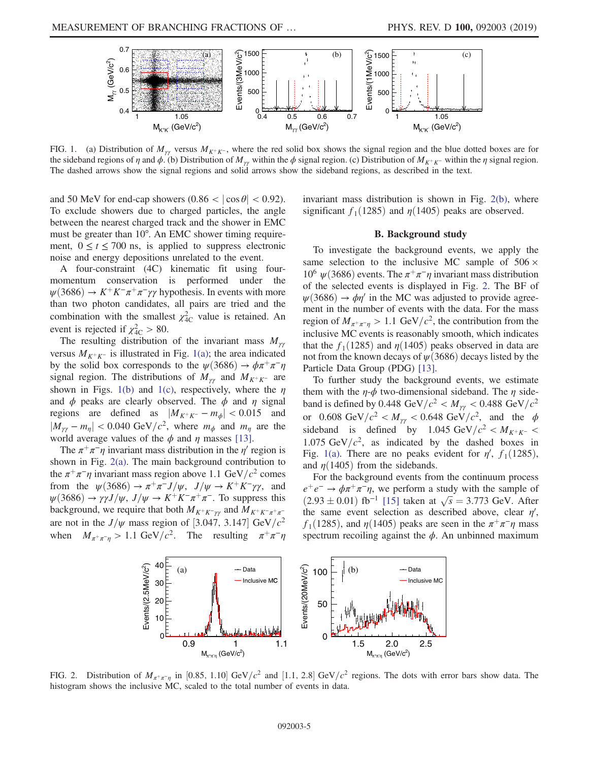<span id="page-4-0"></span>

FIG. 1. (a) Distribution of  $M_{\gamma\gamma}$  versus  $M_{K^+K^-}$ , where the red solid box shows the signal region and the blue dotted boxes are for the sideband regions of  $\eta$  and  $\phi$ . (b) Distribution of  $M_{\gamma\gamma}$  within the  $\phi$  signal region. (c) Distribution of  $M_{K^+K^-}$  within the  $\eta$  signal region. The dashed arrows show the signal regions and solid arrows show the sideband regions, as described in the text.

and 50 MeV for end-cap showers  $(0.86 < |\cos \theta| < 0.92)$ . To exclude showers due to charged particles, the angle between the nearest charged track and the shower in EMC must be greater than 10°. An EMC shower timing requirement,  $0 \le t \le 700$  ns, is applied to suppress electronic noise and energy depositions unrelated to the event.

A four-constraint (4C) kinematic fit using fourmomentum conservation is performed under the  $\psi(3686) \rightarrow K^+K^-\pi^+\pi^-\gamma\gamma$  hypothesis. In events with more than two photon candidates, all pairs are tried and the combination with the smallest  $\chi^2_{4C}$  value is retained. An event is rejected if  $\chi^2_{\text{4C}} > 80$ .

The resulting distribution of the invariant mass  $M_{\gamma\gamma}$ versus  $M_{K^+K^-}$  is illustrated in Fig. [1\(a\);](#page-4-0) the area indicated by the solid box corresponds to the  $\psi(3686) \to \phi \pi^+ \pi^- \eta$ signal region. The distributions of  $M_{\gamma\gamma}$  and  $M_{K^+K^-}$  are shown in Figs. [1\(b\)](#page-4-0) and [1\(c\),](#page-4-0) respectively, where the  $\eta$ and  $\phi$  peaks are clearly observed. The  $\phi$  and  $\eta$  signal regions are defined as  $|M_{K^+ K^-} - m_{\phi}| < 0.015$  and  $|M_{\gamma\gamma}-m_{\eta}|<0.040 \text{ GeV}/c^2$ , where  $m_{\phi}$  and  $m_{\eta}$  are the world average values of the  $\phi$  and  $\eta$  masses [\[13\].](#page-8-9)

The  $\pi^+\pi^-\eta$  invariant mass distribution in the  $\eta'$  region is shown in Fig. [2\(a\)](#page-4-1). The main background contribution to the  $\pi^+\pi^-\eta$  invariant mass region above 1.1 GeV/c<sup>2</sup> comes from the  $\psi(3686) \to \pi^+\pi^- J/\psi$ ,  $J/\psi \to K^+K^-\gamma\gamma$ , and  $\psi$ (3686) →  $\gamma \gamma J/\psi$ ,  $J/\psi \rightarrow K^+K^-\pi^+\pi^-$ . To suppress this background, we require that both  $M_{K^+K^-\gamma\gamma}$  and  $M_{K^+K^-\pi^+\pi^-}$ are not in the  $J/\psi$  mass region of [3.047, 3.147] GeV/ $c^2$ when  $M_{\pi^+\pi^-\eta} > 1.1 \text{ GeV}/c^2$ . The resulting  $\pi^+\pi^-\eta$  invariant mass distribution is shown in Fig. [2\(b\),](#page-4-1) where significant  $f_1(1285)$  and  $\eta(1405)$  peaks are observed.

#### B. Background study

To investigate the background events, we apply the same selection to the inclusive MC sample of  $506 \times$  $10^6 \psi(3686)$  events. The  $\pi^+\pi^-\eta$  invariant mass distribution of the selected events is displayed in Fig. [2.](#page-4-1) The BF of  $\psi(3686) \rightarrow \phi \eta'$  in the MC was adjusted to provide agreement in the number of events with the data. For the mass region of  $M_{\pi^+\pi^-\eta} > 1.1$  GeV/ $c^2$ , the contribution from the inclusive MC events is reasonably smooth, which indicates that the  $f_1(1285)$  and  $\eta(1405)$  peaks observed in data are not from the known decays of  $\psi$ (3686) decays listed by the Particle Data Group (PDG) [\[13\]](#page-8-9).

To further study the background events, we estimate them with the  $\eta$ - $\phi$  two-dimensional sideband. The  $\eta$  sideband is defined by 0.448 GeV/ $c^2 < M_{\gamma\gamma} < 0.488$  GeV/ $c^2$ or 0.608 GeV/ $c^2 < M_{\gamma\gamma} < 0.648$  GeV/ $c^2$ , and the  $\phi$ sideband is defined by 1.045 GeV/ $c^2 < M_{K^+K^-}$ 1.075 GeV/ $c^2$ , as indicated by the dashed boxes in Fig. [1\(a\)](#page-4-0). There are no peaks evident for  $\eta'$ ,  $f_1(1285)$ , and  $\eta(1405)$  from the sidebands.

For the background events from the continuum process  $e^+e^- \rightarrow \phi \pi^+ \pi^- \eta$ , we perform a study with the sample of  $e^+e^- \rightarrow \phi \pi^+ \pi^- \eta$ , we perform a study with the sample of  $(2.93 \pm 0.01)$  fb<sup>-1</sup> [\[15\]](#page-8-12) taken at  $\sqrt{s} = 3.773$  GeV. After the same event selection as described above, clear  $\eta'$ ,  $f_1(1285)$ , and  $\eta(1405)$  peaks are seen in the  $\pi^+\pi^-\eta$  mass spectrum recoiling against the  $\phi$ . An unbinned maximum

<span id="page-4-1"></span>

FIG. 2. Distribution of  $M_{\pi^+\pi^-\eta}$  in [0.85, 1.10] GeV/c<sup>2</sup> and [1.1, 2.8] GeV/c<sup>2</sup> regions. The dots with error bars show data. The histogram shows the inclusive MC, scaled to the total number of events in data.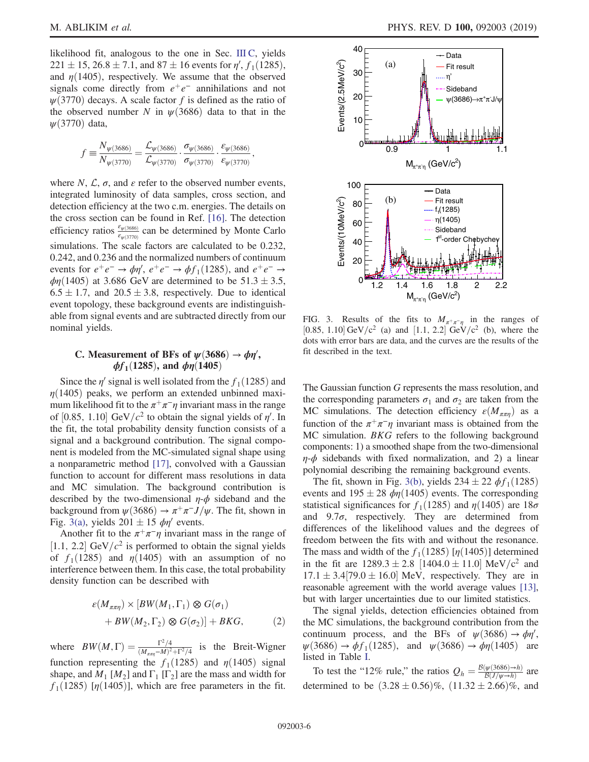likelihood fit, analogous to the one in Sec. [III C](#page-5-0), yields  $221 \pm 15$ ,  $26.8 \pm 7.1$ , and  $87 \pm 16$  events for  $\eta'$ ,  $f_1(1285)$ , and  $\eta(1405)$ , respectively. We assume that the observed signals come directly from  $e^+e^-$  annihilations and not  $\psi(3770)$  decays. A scale factor f is defined as the ratio of the observed number N in  $\psi$ (3686) data to that in the  $\psi$ (3770) data,

$$
f\equiv\frac{N_{\psi(3686)}}{N_{\psi(3770)}}=\frac{\mathcal{L}_{\psi(3686)}}{\mathcal{L}_{\psi(3770)}}\cdot\frac{\sigma_{\psi(3686)}}{\sigma_{\psi(3770)}}\cdot\frac{\varepsilon_{\psi(3686)}}{\varepsilon_{\psi(3770)}},
$$

where  $N$ ,  $\mathcal{L}$ ,  $\sigma$ , and  $\varepsilon$  refer to the observed number events, integrated luminosity of data samples, cross section, and detection efficiency at the two c.m. energies. The details on the cross section can be found in Ref. [\[16\].](#page-8-13) The detection efficiency ratios  $\frac{\varepsilon_{\psi(3686)}}{\varepsilon_{\psi(3770)}}$  can be determined by Monte Carlo simulations. The scale factors are calculated to be 0.232, 0.242, and 0.236 and the normalized numbers of continuum events for  $e^+e^- \rightarrow \phi \eta'$ ,  $e^+e^- \rightarrow \phi f_1(1285)$ , and  $e^+e^- \rightarrow$  $\phi$ η(1405) at 3.686 GeV are determined to be 51.3 ± 3.5,  $6.5 \pm 1.7$ , and  $20.5 \pm 3.8$ , respectively. Due to identical event topology, these background events are indistinguishable from signal events and are subtracted directly from our nominal yields.

# <span id="page-5-0"></span>C. Measurement of BFs of  $\psi(3686) \rightarrow \phi \eta'$ ,  $φf_1(1285)$ , and  $φη(1405)$

Since the  $\eta'$  signal is well isolated from the  $f_1(1285)$  and  $\eta(1405)$  peaks, we perform an extended unbinned maximum likelihood fit to the  $\pi^+\pi^-\eta$  invariant mass in the range of [0.85, 1.10] GeV/ $c^2$  to obtain the signal yields of  $\eta'$ . In the fit, the total probability density function consists of a signal and a background contribution. The signal component is modeled from the MC-simulated signal shape using a nonparametric method [\[17\],](#page-8-14) convolved with a Gaussian function to account for different mass resolutions in data and MC simulation. The background contribution is described by the two-dimensional  $\eta$ - $\phi$  sideband and the background from  $\psi(3686) \rightarrow \pi^+\pi^- J/\psi$ . The fit, shown in Fig. [3\(a\),](#page-5-1) yields  $201 \pm 15$   $\phi \eta'$  events.

Another fit to the  $\pi^+\pi^-\eta$  invariant mass in the range of [1.1, 2.2] GeV/ $c^2$  is performed to obtain the signal yields of  $f_1(1285)$  and  $\eta(1405)$  with an assumption of no interference between them. In this case, the total probability density function can be described with

$$
\varepsilon(M_{\pi\pi\eta}) \times [BW(M_1, \Gamma_1) \otimes G(\sigma_1) + BW(M_2, \Gamma_2) \otimes G(\sigma_2)] + BKG,
$$
 (2)

where  $BW(M, \Gamma) = \frac{\Gamma^2/4}{(M_{\pi\pi\eta} - M)^2 + \Gamma^2/4}$  is the Breit-Wigner function representing the  $f_1(1285)$  and  $\eta(1405)$  signal shape, and  $M_1$  [ $M_2$ ] and  $\Gamma_1$  [ $\Gamma_2$ ] are the mass and width for  $f_1(1285)$  [ $\eta(1405)$ ], which are free parameters in the fit.

<span id="page-5-1"></span>

FIG. 3. Results of the fits to  $M_{\pi^+\pi^-\eta}$  in the ranges of [0.85, 1.10] GeV/c<sup>2</sup> (a) and [1.1, 2.2] GeV/c<sup>2</sup> (b), where the dots with error bars are data, and the curves are the results of the fit described in the text.

The Gaussian function G represents the mass resolution, and the corresponding parameters  $\sigma_1$  and  $\sigma_2$  are taken from the MC simulations. The detection efficiency  $\varepsilon(M_{\pi\pi\eta})$  as a function of the  $\pi^+\pi^-\eta$  invariant mass is obtained from the MC simulation. BKG refers to the following background components: 1) a smoothed shape from the two-dimensional  $\eta$ - $\phi$  sidebands with fixed normalization, and 2) a linear polynomial describing the remaining background events.

The fit, shown in Fig. [3\(b\)](#page-5-1), yields  $234 \pm 22$   $\phi f_1(1285)$ events and  $195 \pm 28$   $\phi \eta$ (1405) events. The corresponding statistical significances for  $f_1(1285)$  and  $\eta(1405)$  are  $18\sigma$ and  $9.7\sigma$ , respectively. They are determined from differences of the likelihood values and the degrees of freedom between the fits with and without the resonance. The mass and width of the  $f_1(1285)$  [ $\eta(1405)$ ] determined in the fit are  $1289.3 \pm 2.8$  [1404.0  $\pm$  11.0] MeV/c<sup>2</sup> and  $17.1 \pm 3.4$  [79.0  $\pm$  16.0] MeV, respectively. They are in reasonable agreement with the world average values [\[13\]](#page-8-9), but with larger uncertainties due to our limited statistics.

The signal yields, detection efficiencies obtained from the MC simulations, the background contribution from the continuum process, and the BFs of  $\psi(3686) \rightarrow \phi \eta'$ ,  $\psi$ (3686)  $\rightarrow$   $\phi f_1$ (1285), and  $\psi$ (3686)  $\rightarrow$   $\phi \eta$ (1405) are listed in Table [I.](#page-6-0)

To test the "12% rule," the ratios  $Q_h = \frac{B(\psi(3686) \to h)}{B(J/\psi \to h)}$  are determined to be  $(3.28 \pm 0.56)\%$ ,  $(11.32 \pm 2.66)\%$ , and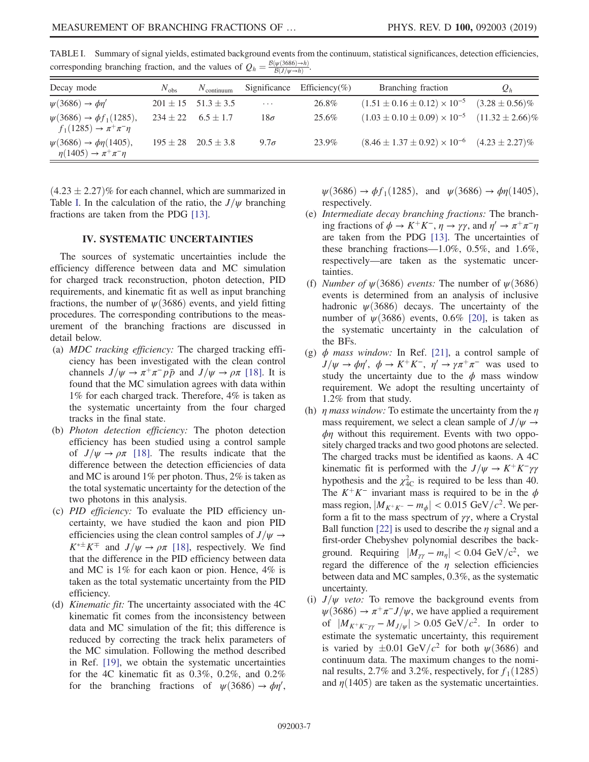| Decay mode                                                              | $N_{\text{obs}}$ | $N_{\text{continuum}}$      |             | Significance Efficiency(%) | Branching fraction                                             | $Q_h$ |
|-------------------------------------------------------------------------|------------------|-----------------------------|-------------|----------------------------|----------------------------------------------------------------|-------|
| $\psi(3686) \rightarrow \phi \eta'$                                     |                  | $201 \pm 15$ $51.3 \pm 3.5$ | $\cdots$    | 26.8%                      | $(1.51 \pm 0.16 \pm 0.12) \times 10^{-5}$ $(3.28 \pm 0.56)\%$  |       |
| $\psi(3686) \to \phi f_1(1285)$ ,<br>$f_1(1285) \to \pi^+\pi^-\eta$     |                  | $234 \pm 22$ 6.5 $\pm$ 1.7  | $18\sigma$  | 25.6%                      | $(1.03 \pm 0.10 \pm 0.09) \times 10^{-5}$ $(11.32 \pm 2.66)\%$ |       |
| $\psi(3686) \to \phi \eta(1405)$ ,<br>$\eta(1405) \to \pi^+ \pi^- \eta$ |                  | $195 \pm 28$ $20.5 \pm 3.8$ | $9.7\sigma$ | 23.9%                      | $(8.46 \pm 1.37 \pm 0.92) \times 10^{-6}$ $(4.23 \pm 2.27)\%$  |       |

<span id="page-6-0"></span>TABLE I. Summary of signal yields, estimated background events from the continuum, statistical significances, detection efficiencies, corresponding branching fraction, and the values of  $Q_h = \frac{B(\psi(3686) \to h)}{B(J/\psi \to h)}$ .

 $(4.23 \pm 2.27)\%$  for each channel, which are summarized in Table [I.](#page-6-0) In the calculation of the ratio, the  $J/\psi$  branching fractions are taken from the PDG [\[13\]](#page-8-9).

# IV. SYSTEMATIC UNCERTAINTIES

The sources of systematic uncertainties include the efficiency difference between data and MC simulation for charged track reconstruction, photon detection, PID requirements, and kinematic fit as well as input branching fractions, the number of  $\psi(3686)$  events, and yield fitting procedures. The corresponding contributions to the measurement of the branching fractions are discussed in detail below.

- (a) MDC tracking efficiency: The charged tracking efficiency has been investigated with the clean control channels  $J/\psi \rightarrow \pi^+\pi^- p\bar{p}$  and  $J/\psi \rightarrow \rho\pi$  [\[18\]](#page-8-15). It is found that the MC simulation agrees with data within 1% for each charged track. Therefore, 4% is taken as the systematic uncertainty from the four charged tracks in the final state.
- (b) Photon detection efficiency: The photon detection efficiency has been studied using a control sample of  $J/\psi \rightarrow \rho \pi$  [\[18\].](#page-8-15) The results indicate that the difference between the detection efficiencies of data and MC is around 1% per photon. Thus, 2% is taken as the total systematic uncertainty for the detection of the two photons in this analysis.
- (c) PID efficiency: To evaluate the PID efficiency uncertainty, we have studied the kaon and pion PID efficiencies using the clean control samples of  $J/\psi \rightarrow$  $K^{*\pm} K^{\mp}$  and  $J/\psi \rightarrow \rho \pi$  [\[18\],](#page-8-15) respectively. We find that the difference in the PID efficiency between data and MC is 1% for each kaon or pion. Hence, 4% is taken as the total systematic uncertainty from the PID efficiency.
- (d) Kinematic fit: The uncertainty associated with the 4C kinematic fit comes from the inconsistency between data and MC simulation of the fit; this difference is reduced by correcting the track helix parameters of the MC simulation. Following the method described in Ref. [\[19\]](#page-8-16), we obtain the systematic uncertainties for the 4C kinematic fit as 0.3%, 0.2%, and 0.2% for the branching fractions of  $\psi(3686) \to \phi \eta'$ ,

 $\psi(3686) \to \phi f_1(1285)$ , and  $\psi(3686) \to \phi \eta(1405)$ , respectively.

- (e) Intermediate decay branching fractions: The branching fractions of  $\phi \to K^+K^-$ ,  $\eta \to \gamma\gamma$ , and  $\eta' \to \pi^+\pi^-\eta$ are taken from the PDG [\[13\]](#page-8-9). The uncertainties of these branching fractions—1.0%, 0.5%, and 1.6%, respectively—are taken as the systematic uncertainties.
- (f) Number of  $\psi$ (3686) events: The number of  $\psi$ (3686) events is determined from an analysis of inclusive hadronic  $\psi$ (3686) decays. The uncertainty of the number of  $\psi$ (3686) events, 0.6% [\[20\]](#page-8-17), is taken as the systematic uncertainty in the calculation of the BFs.
- (g)  $\phi$  mass window: In Ref. [\[21\]](#page-8-18), a control sample of  $J/\psi \to \phi \eta', \ \phi \to K^+K^-$ ,  $\eta' \to \gamma \pi^+ \pi^-$  was used to study the uncertainty due to the  $\phi$  mass window requirement. We adopt the resulting uncertainty of 1.2% from that study.
- (h)  $\eta$  mass window: To estimate the uncertainty from the  $\eta$ mass requirement, we select a clean sample of  $J/\psi \rightarrow$  $\phi$ η without this requirement. Events with two oppositely charged tracks and two good photons are selected. The charged tracks must be identified as kaons. A 4C kinematic fit is performed with the  $J/\psi \rightarrow K^+K^-\gamma\gamma$ hypothesis and the  $\chi^2_{\text{4C}}$  is required to be less than 40. The  $K^+K^-$  invariant mass is required to be in the  $\phi$ mass region,  $|M_{K^+K^-} - m_{\phi}| < 0.015 \text{ GeV}/c^2$ . We perform a fit to the mass spectrum of  $\gamma\gamma$ , where a Crystal Ball function [\[22\]](#page-8-19) is used to describe the  $\eta$  signal and a first-order Chebyshev polynomial describes the background. Requiring  $|\tilde{M}_{\gamma\gamma} - m_{\eta}| < 0.04 \text{ GeV}/c^2$ , we regard the difference of the  $\eta$  selection efficiencies between data and MC samples, 0.3%, as the systematic uncertainty.
- (i)  $J/\psi$  veto: To remove the background events from  $\psi(3686) \rightarrow \pi^+\pi^- J/\psi$ , we have applied a requirement of  $|M_{K^+K^-\gamma\gamma} - M_{J/\psi}| > 0.05 \text{ GeV}/c^2$ . In order to estimate the systematic uncertainty, this requirement is varied by  $\pm 0.01$  GeV/ $c^2$  for both  $\psi$ (3686) and continuum data. The maximum changes to the nominal results, 2.7% and 3.2%, respectively, for  $f_1(1285)$ and  $\eta(1405)$  are taken as the systematic uncertainties.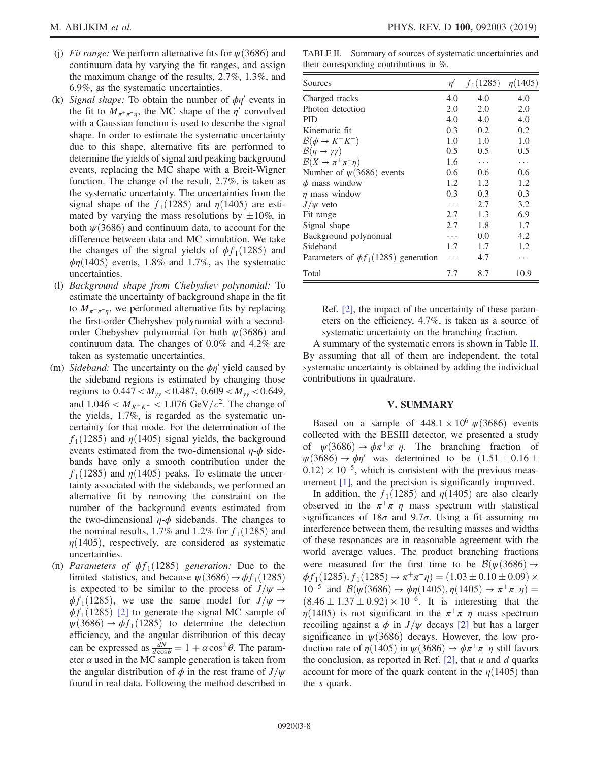- (j) Fit range: We perform alternative fits for  $\psi(3686)$  and continuum data by varying the fit ranges, and assign the maximum change of the results, 2.7%, 1.3%, and 6.9%, as the systematic uncertainties.
- (k) Signal shape: To obtain the number of  $\phi\eta'$  events in the fit to  $M_{\pi^+\pi^-\eta}$ , the MC shape of the  $\eta'$  convolved with a Gaussian function is used to describe the signal shape. In order to estimate the systematic uncertainty due to this shape, alternative fits are performed to determine the yields of signal and peaking background events, replacing the MC shape with a Breit-Wigner function. The change of the result, 2.7%, is taken as the systematic uncertainty. The uncertainties from the signal shape of the  $f_1(1285)$  and  $\eta(1405)$  are estimated by varying the mass resolutions by  $\pm 10\%$ , in both  $\psi$ (3686) and continuum data, to account for the difference between data and MC simulation. We take the changes of the signal yields of  $\phi f_1(1285)$  and  $\phi$ η(1405) events, 1.8% and 1.7%, as the systematic uncertainties.
- (l) Background shape from Chebyshev polynomial: To estimate the uncertainty of background shape in the fit to  $M_{\pi^+\pi^-\eta}$ , we performed alternative fits by replacing the first-order Chebyshev polynomial with a secondorder Chebyshev polynomial for both  $\psi$ (3686) and continuum data. The changes of 0.0% and 4.2% are taken as systematic uncertainties.
- (m) Sideband: The uncertainty on the  $\phi\eta'$  yield caused by the sideband regions is estimated by changing those regions to  $0.447 < M_{\gamma\gamma} < 0.487$ ,  $0.609 < M_{\gamma\gamma} < 0.649$ , and  $1.046 < M_{K^+K^-} < 1.076 \text{ GeV}/c^2$ . The change of the yields, 1.7%, is regarded as the systematic uncertainty for that mode. For the determination of the  $f_1(1285)$  and  $\eta(1405)$  signal yields, the background events estimated from the two-dimensional  $\eta$ - $\phi$  sidebands have only a smooth contribution under the  $f_1(1285)$  and  $\eta(1405)$  peaks. To estimate the uncertainty associated with the sidebands, we performed an alternative fit by removing the constraint on the number of the background events estimated from the two-dimensional  $\eta$ - $\phi$  sidebands. The changes to the nominal results, 1.7% and 1.2% for  $f_1(1285)$  and  $\eta(1405)$ , respectively, are considered as systematic uncertainties.
- (n) Parameters of  $\phi f_1(1285)$  generation: Due to the limited statistics, and because  $\psi(3686) \rightarrow \phi f_1(1285)$ is expected to be similar to the process of  $J/\psi \rightarrow$  $\phi f_1(1285)$ , we use the same model for  $J/\psi \rightarrow$  $\phi f_1(1285)$  [\[2\]](#page-8-1) to generate the signal MC sample of  $\psi$ (3686)  $\rightarrow$   $\phi$ f<sub>1</sub>(1285) to determine the detection efficiency, and the angular distribution of this decay can be expressed as  $\frac{dN}{d\cos\theta} = 1 + \alpha \cos^2 \theta$ . The parameter  $\alpha$  used in the MC sample generation is taken from the angular distribution of  $\phi$  in the rest frame of  $J/\psi$ found in real data. Following the method described in

<span id="page-7-0"></span>TABLE II. Summary of sources of systematic uncertainties and their corresponding contributions in %.

| Sources                                   | $\eta'$ | $f_1(1285)$ | $\eta(1405)$ |
|-------------------------------------------|---------|-------------|--------------|
| Charged tracks                            | 4.0     | 4.0         | 4.0          |
| Photon detection                          | 2.0     | 2.0         | 2.0          |
| <b>PID</b>                                | 4.0     | 4.0         | 4.0          |
| Kinematic fit.                            | 0.3     | 0.2         | 0.2          |
| $\mathcal{B}(\phi \to K^+K^-)$            | 1.0     | 1.0         | 1.0          |
| $\mathcal{B}(\eta \to \gamma \gamma)$     | 0.5     | 0.5         | 0.5          |
| $\mathcal{B}(X \to \pi^+ \pi^- \eta)$     | 1.6     | $\cdots$    | .            |
| Number of $\psi(3686)$ events             | 0.6     | 0.6         | 0.6          |
| $\phi$ mass window                        | 1.2     | 1.2         | 1.2          |
| $\eta$ mass window                        | 0.3     | 0.3         | 0.3          |
| $J/\psi$ veto                             | .       | 2.7         | 3.2          |
| Fit range                                 | 2.7     | 1.3         | 6.9          |
| Signal shape                              | 2.7     | 1.8         | 1.7          |
| Background polynomial                     | .       | 0.0         | 4.2.         |
| Sideband                                  | 1.7     | 1.7         | 1.2.         |
| Parameters of $\phi f_1(1285)$ generation | .       | 4.7         | .            |
| Total                                     | 7.7     | 8.7         | 10.9         |

Ref. [\[2\]](#page-8-1), the impact of the uncertainty of these parameters on the efficiency, 4.7%, is taken as a source of systematic uncertainty on the branching fraction.

A summary of the systematic errors is shown in Table [II](#page-7-0). By assuming that all of them are independent, the total systematic uncertainty is obtained by adding the individual contributions in quadrature.

#### V. SUMMARY

Based on a sample of  $448.1 \times 10^6 \psi(3686)$  events collected with the BESIII detector, we presented a study of  $\psi(3686) \rightarrow \phi \pi^+ \pi^- \eta$ . The branching fraction of  $\psi(3686) \rightarrow \phi \eta'$  was determined to be  $(1.51 \pm 0.16 \pm 0.16)$  $0.12 \times 10^{-5}$ , which is consistent with the previous measurement [\[1\],](#page-8-0) and the precision is significantly improved.

In addition, the  $f_1(1285)$  and  $\eta(1405)$  are also clearly observed in the  $\pi^+\pi^-\eta$  mass spectrum with statistical significances of  $18\sigma$  and  $9.7\sigma$ . Using a fit assuming no interference between them, the resulting masses and widths of these resonances are in reasonable agreement with the world average values. The product branching fractions were measured for the first time to be  $\mathcal{B}(\psi(3686) \rightarrow$  $\phi f_1(1285), f_1(1285) \rightarrow \pi^+ \pi^- \eta) = (1.03 \pm 0.10 \pm 0.09) \times$ 10<sup>-5</sup> and  $\mathcal{B}(\psi(3686) \to \phi \eta(1405), \eta(1405) \to \pi^+ \pi^- \eta)$  =  $(8.46 \pm 1.37 \pm 0.92) \times 10^{-6}$ . It is interesting that the  $\eta(1405)$  is not significant in the  $\pi^+\pi^-\eta$  mass spectrum recoiling against a  $\phi$  in  $J/\psi$  decays [\[2\]](#page-8-1) but has a larger significance in  $\psi$ (3686) decays. However, the low production rate of  $\eta(1405)$  in  $\psi(3686) \rightarrow \phi \pi^+ \pi^- \eta$  still favors the conclusion, as reported in Ref. [\[2\]](#page-8-1), that  $u$  and  $d$  quarks account for more of the quark content in the  $\eta(1405)$  than the s quark.